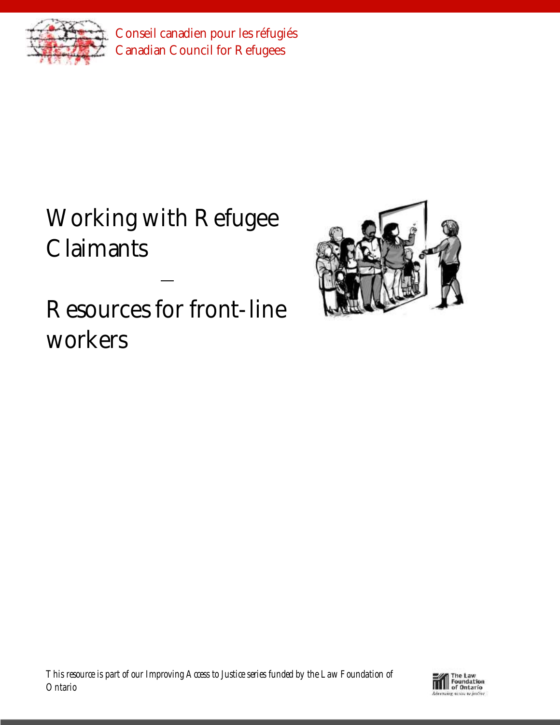

Conseil canadien pour les réfugiés Canadian Council for Refugees

Working with Refugee **Claimants** 

Resources for front-line workers



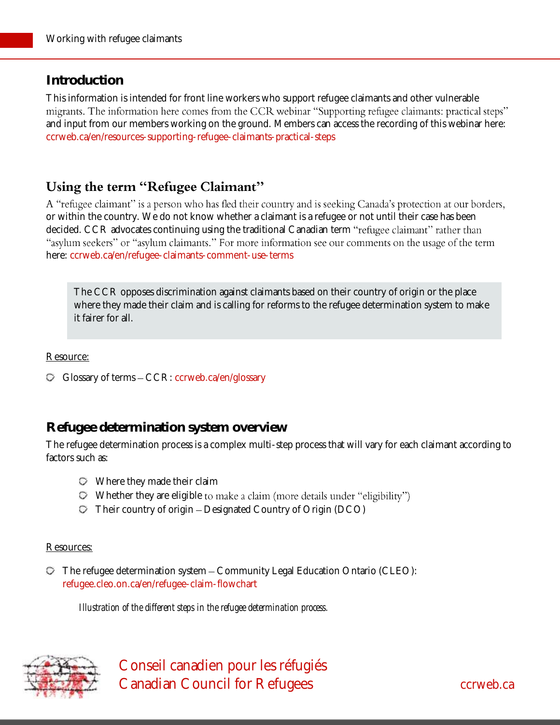# **Introduction**

This information is intended for front line workers who support refugee claimants and other vulnerable migrants. The information here comes from the CCR webinar "Supporting refugee claimants: practical steps" and input from our members working on the ground. Members can access the recording of this webinar here: [ccrweb.ca/en/resources-supporting-refugee-claimants-practical-steps](http://ccrweb.ca/en/resources-supporting-refugee-claimants-practical-steps)

# Using the term "Refugee Claimant"

A "refugee claimant" is a person who has fled their country and is seeking Canada's protection at our borders, or within the country. We do not know whether a claimant is a refugee or not until their case has been decided. CCR advocates continuing using the traditional Canadian term "refugee claimant" rather than "asylum seekers" or "asylum claimants." For more information see our comments on the usage of the term here: [ccrweb.ca/en/refugee-claimants-comment-use-terms](http://ccrweb.ca/en/refugee-claimants-comment-use-terms)

The CCR opposes discrimination against claimants based on their country of origin or the place where they made their claim and is calling for reforms to the refugee determination system to make it fairer for all.

Resource:

G Glossary of terms - CCR: [ccrweb.ca/en/glossary](http://ccrweb.ca/en/glossary)

# **Refugee determination system overview**

The refugee determination process is a complex multi-step process that will vary for each claimant according to factors such as:

- Where they made their claim
- $\heartsuit$  Whether they are eligible to make a claim (more details under "eligibility")
- $\heartsuit$  Their country of origin Designated Country of Origin (DCO)

#### Resources:

 $\heartsuit$  The refugee determination system  $-$  Community Legal Education Ontario (CLEO): [refugee.cleo.on.ca/en/refugee-claim-flowchart](https://refugee.cleo.on.ca/en/refugee-claim-flowchart)

*Illustration of the different steps in the refugee determination process.*

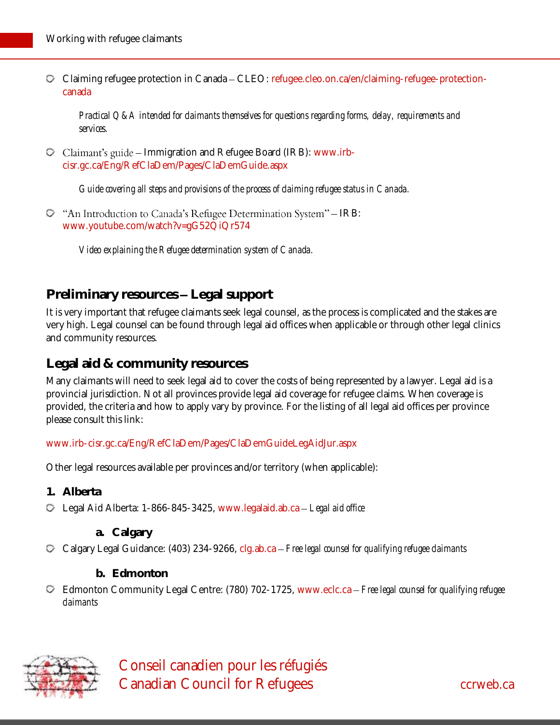Claiming refugee protection in Canada CLEO: [refugee.cleo.on.ca/en/claiming-refugee-protection](http://refugee.cleo.on.ca/en/claiming-refugee-protection-canada)[canada](http://refugee.cleo.on.ca/en/claiming-refugee-protection-canada)

*Practical Q&A intended for claimants themselves for questions regarding forms, delay, requirements and services.*

 $\circ$  Claimant's guide – Immigration and Refugee Board (IRB): [www.irb](http://www.irb-cisr.gc.ca/Eng/RefClaDem/Pages/ClaDemGuide.aspx)[cisr.gc.ca/Eng/RefClaDem/Pages/ClaDemGuide.aspx](http://www.irb-cisr.gc.ca/Eng/RefClaDem/Pages/ClaDemGuide.aspx)

*Guide covering all steps and provisions of the process of claiming refugee status in Canada.*

 $\heartsuit$  "An Introduction to Canada's Refugee Determination System" – IRB: [www.youtube.com/watch?v=gG52QiQr574](https://www.youtube.com/watch?v=gG52QiQr574)

*Video explaining the Refugee determination system of Canada.*

## **Preliminary resources Legal support**

It is very important that refugee claimants seek legal counsel, as the process is complicated and the stakes are very high. Legal counsel can be found through legal aid offices when applicable or through other legal clinics and community resources.

## **Legal aid & community resources**

Many claimants will need to seek legal aid to cover the costs of being represented by a lawyer. Legal aid is a provincial jurisdiction. Not all provinces provide legal aid coverage for refugee claims. When coverage is provided, the criteria and how to apply vary by province. For the listing of all legal aid offices per province please consult this link:

### [www.irb-cisr.gc.ca/Eng/RefClaDem/Pages/ClaDemGuideLegAidJur.aspx](file:///C:/Users/Direction/Documents/myfiles/practical-resources-project/www.irb-cisr.gc.ca/Eng/RefClaDem/Pages/ClaDemGuideLegAidJur.aspx)

Other legal resources available per provinces and/or territory (when applicable):

- **1. Alberta**
- Legal Aid Alberta: 1-866-845-3425, [www.legalaid.ab.ca](file:///C:/Users/Direction/Documents/myfiles/practical-resources-project/www.legalaid.ab.ca) *Legal aid office*
	- **a. Calgary**
- Calgary Legal Guidance: (403) 234-9266, [clg.ab.ca](http://clg.ab.ca/) *Free legal counsel for qualifying refugee claimants*
	- **b. Edmonton**
- Edmonton Community Legal Centre: (780) 702-1725, [www.eclc.ca](http://www.eclc.ca/) *Free legal counsel for qualifying refugee claimants*

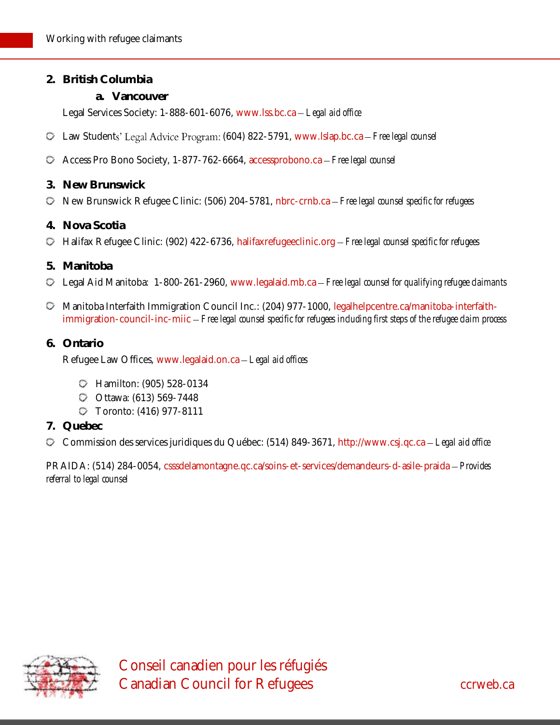- **2. British Columbia**
	- **a. Vancouver**

Legal Services Society: 1-888-601-6076, [www.lss.bc.ca](https://www.lss.bc.ca/) *Legal aid office*

- $\degree$  Law Students' Legal Advice Program: (604) 822-5791, [www.lslap.bc.ca](http://www.lslap.bc.ca/) Free legal counsel
- Access Pro Bono Society, 1-877-762-6664, [accessprobono.ca](http://accessprobono.ca/) *Free legal counsel*
- **3. New Brunswick**
- New Brunswick Refugee Clinic: (506) 204-5781, [nbrc-crnb.ca](http://nbrc-crnb.ca/en/) *Free legal counsel specific for refugees*
- **4. Nova Scotia**
- Halifax Refugee Clinic: (902) 422-6736, [halifaxrefugeeclinic.org](http://halifaxrefugeeclinic.org/) *Free legal counsel specific for refugees*
- **5. Manitoba**
- Legal Aid Manitoba: 1-800-261-2960, [www.legalaid.mb.ca](https://www.legalaid.mb.ca/) *Free legal counsel for qualifying refugee claimants*
- Manitoba Interfaith Immigration Council Inc.: (204) 977-1000, [legalhelpcentre.ca/manitoba-interfaith](http://legalhelpcentre.ca/manitoba-interfaith-immigration-council-inc-miic)[immigration-council-inc-miic](http://legalhelpcentre.ca/manitoba-interfaith-immigration-council-inc-miic) *Free legal counsel specific for refugees including first steps of the refugee claim process*
- **6. Ontario**

Refugee Law Offices, [www.legalaid.on.ca](http://www.legalaid.on.ca/) *Legal aid offices*

- Hamilton: (905) [528-0134](tel:+1-905-528-0134)
- Ottawa: (613) [569-7448](tel:+1-613-569-7448)
- Toronto: (416) 977-8111
- **7. Quebec**

Commission des services juridiques du Québec: (514) 849-3671, [http://www.csj.qc.ca](http://www.csj.qc.ca/) *Legal aid office*

PRAIDA: (514) 284-0054, [csssdelamontagne.qc.ca/soins-et-services/demandeurs-d-asile-praida](https://csssdelamontagne.qc.ca/soins-et-services/demandeurs-d-asile-praida/) *Provides referral to legal counsel*

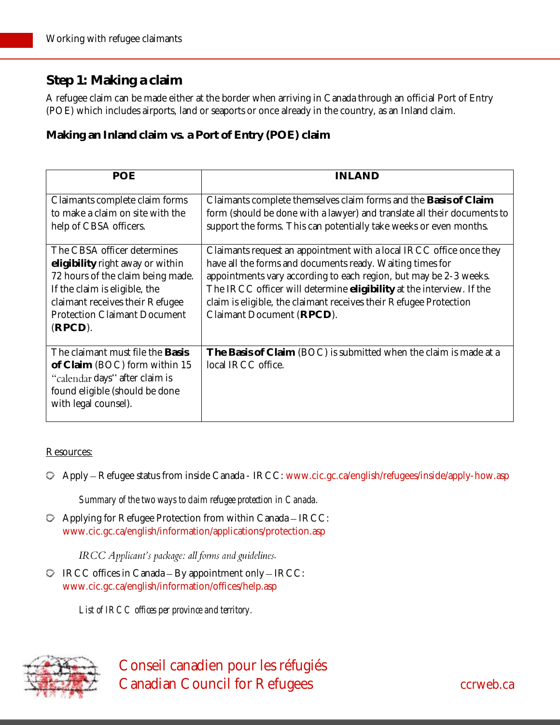# **Step 1: Making a claim**

A refugee claim can be made either at the border when arriving in Canada through an official Port of Entry (POE) which includes airports, land or seaports or once already in the country, as an Inland claim.

**Making an Inland claim vs. a Port of Entry (POE) claim**

| POE                                                                                                                                                                                                                        | INLAND                                                                                                                                                                                                                                                                                                                                                                          |
|----------------------------------------------------------------------------------------------------------------------------------------------------------------------------------------------------------------------------|---------------------------------------------------------------------------------------------------------------------------------------------------------------------------------------------------------------------------------------------------------------------------------------------------------------------------------------------------------------------------------|
| Claimants complete claim forms<br>to make a claim on site with the<br>help of CBSA officers.                                                                                                                               | Claimants complete themselves claim forms and the Basis of Claim<br>form (should be done with a lawyer) and translate all their documents to<br>support the forms. This can potentially take weeks or even months.                                                                                                                                                              |
| The CBSA officer determines<br>eligibility right away or within<br>72 hours of the claim being made.<br>If the claim is eligible, the<br>claimant receives their Refugee<br><b>Protection Claimant Document</b><br>(RPCD). | Claimants request an appointment with a local IRCC office once they<br>have all the forms and documents ready. Waiting times for<br>appointments vary according to each region, but may be 2-3 weeks.<br>The IRCC officer will determine eligibility at the interview. If the<br>claim is eligible, the claimant receives their Refugee Protection<br>Claimant Document (RPCD). |
| The claimant must file the Basis<br>of Claim (BOC) form within 15<br>"calendar days" after claim is<br>found eligible (should be done<br>with legal counsel).                                                              | The Basis of Claim (BOC) is submitted when the claim is made at a<br>local IRCC office.                                                                                                                                                                                                                                                                                         |

#### Resources:

Apply Refugee status from inside Canada - IRCC: [www.cic.gc.ca/english/refugees/inside/apply-how.asp](http://www.cic.gc.ca/english/refugees/inside/apply-how.asp)

*Summary of the two ways to claim refugee protection in Canada.*

 $\heartsuit$  Applying for Refugee Protection from within Canada - IRCC: [www.cic.gc.ca/english/information/applications/protection.asp](http://www.cic.gc.ca/english/information/applications/protection.asp)

**IRCC** Applicant's package: all forms and guidelines.

 $\heartsuit$  IRCC offices in Canada – By appointment only – IRCC: [www.cic.gc.ca/english/information/offices/help.asp](http://www.cic.gc.ca/english/information/offices/help.asp)

*List of IRCC offices per province and territory.*



 Conseil canadien pour les réfugiés Canadian Council for Refugees can be converted as a converted control of the case of the case of the case of the case of the case of the case of the case of the case of the case of the case of the case of the case of the c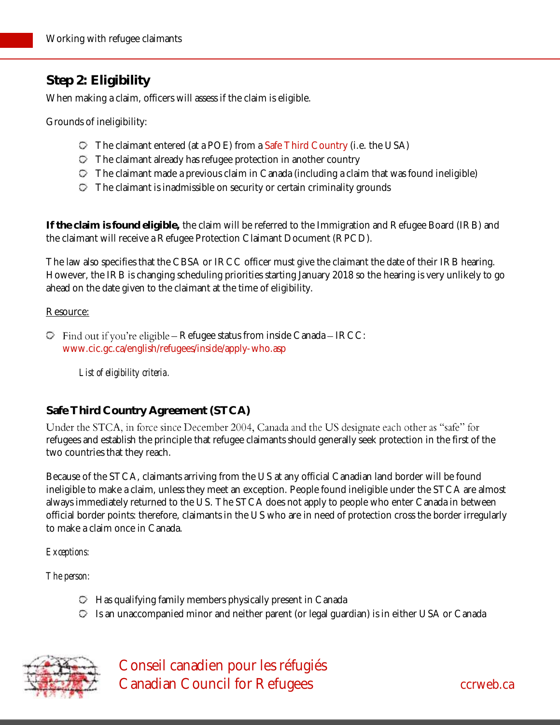# **Step 2: Eligibility**

When making a claim, officers will assess if the claim is eligible.

Grounds of ineligibility:

- The claimant entered (at a POE) from a [Safe Third Country](#page-5-0) (i.e. the USA)
- $\heartsuit$  The claimant already has refugee protection in another country
- $\heartsuit$  The claimant made a previous claim in Canada (including a claim that was found ineligible)
- $\heartsuit$  The claimant is inadmissible on security or certain criminality grounds

**If the claim is found eligible,** the claim will be referred to the Immigration and Refugee Board (IRB) and the claimant will receive a Refugee Protection Claimant Document (RPCD).

The law also specifies that the CBSA or IRCC officer must give the claimant the date of their IRB hearing. However, the IRB is changing scheduling priorities starting January 2018 so the hearing is very unlikely to go ahead on the date given to the claimant at the time of eligibility.

#### Resource:

 $\heartsuit$  Find out if you're eligible – Refugee status from inside Canada – IRCC: [www.cic.gc.ca/english/refugees/inside/apply-who.asp](http://www.cic.gc.ca/english/refugees/inside/apply-who.asp)

*List of eligibility criteria.*

## <span id="page-5-0"></span>**Safe Third Country Agreement (STCA)**

Under the STCA, in force since December 2004, Canada and the US designate each other as "safe" for refugees and establish the principle that refugee claimants should generally seek protection in the first of the two countries that they reach.

Because of the STCA, claimants arriving from the US at any official Canadian land border will be found ineligible to make a claim, unless they meet an exception. People found ineligible under the STCA are almost always immediately returned to the US. The STCA does not apply to people who enter Canada in between official border points: therefore, claimants in the US who are in need of protection cross the border irregularly to make a claim once in Canada.

*Exceptions:*

*The person:*

- $\heartsuit$  Has qualifying family members physically present in Canada
- Is an unaccompanied minor and neither parent (or legal guardian) is in either USA or Canada

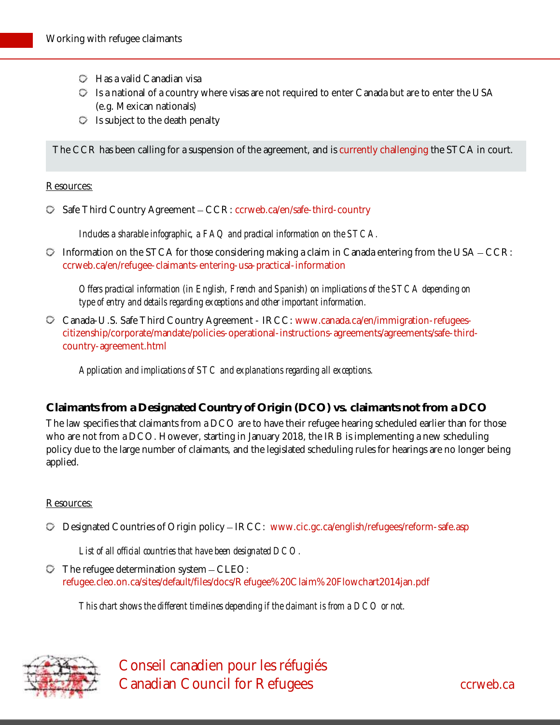- $\heartsuit$  Has a valid Canadian visa
- Is a national of a country where visas are not required to enter Canada but are to enter the USA (e.g. Mexican nationals)
- $\circ$  Is subject to the death penalty

The CCR has been calling for a suspension of the agreement, and is [currently challenging](http://ccrweb.ca/en/safe-third-country-challenge-explanation) the STCA in court.

#### Resources:

**Safe Third Country Agreement – CCR: [ccrweb.ca/en/safe-third-country](http://ccrweb.ca/en/safe-third-country)** 

*Includes a sharable infographic, a FAQ and practical information on the STCA.*

 $\heartsuit$  Information on the STCA for those considering making a claim in Canada entering from the USA  $-CCR$ : [ccrweb.ca/en/refugee-claimants-entering-usa-practical-information](http://ccrweb.ca/en/refugee-claimants-entering-usa-practical-information)

*Offers practical information (in English, French and Spanish) on implications of the STCA depending on type of entry and details regarding exceptions and other important information.*

Canada-U.S. Safe Third Country Agreement - IRCC: [www.canada.ca/en/immigration-refugees](https://www.canada.ca/en/immigration-refugees-citizenship/corporate/mandate/policies-operational-instructions-agreements/agreements/safe-third-country-agreement.html)[citizenship/corporate/mandate/policies-operational-instructions-agreements/agreements/safe-third](https://www.canada.ca/en/immigration-refugees-citizenship/corporate/mandate/policies-operational-instructions-agreements/agreements/safe-third-country-agreement.html)[country-agreement.html](https://www.canada.ca/en/immigration-refugees-citizenship/corporate/mandate/policies-operational-instructions-agreements/agreements/safe-third-country-agreement.html)

*Application and implications of STC and explanations regarding all exceptions.*

#### **Claimants from a Designated Country of Origin (DCO) vs. claimants not from a DCO**

The law specifies that claimants from a DCO are to have their refugee hearing scheduled earlier than for those who are not from a DCO. However, starting in January 2018, the IRB is implementing a new scheduling policy due to the large number of claimants, and the legislated scheduling rules for hearings are no longer being applied.

#### Resources:

Designated Countries of Origin policy IRCC: [www.cic.gc.ca/english/refugees/reform-safe.asp](http://www.cic.gc.ca/english/refugees/reform-safe.asp)

*List of all official countries that have been designated DCO.*

 $\heartsuit$  The refugee determination system  $-\text{CLEO}:$ [refugee.cleo.on.ca/sites/default/files/docs/Refugee%20Claim%20Flowchart2014jan.pdf](http://refugee.cleo.on.ca/sites/default/files/docs/Refugee%20Claim%20Flowchart2014jan.pdf)

*This chart shows the different timelines depending if the claimant is from a DCO or not.*

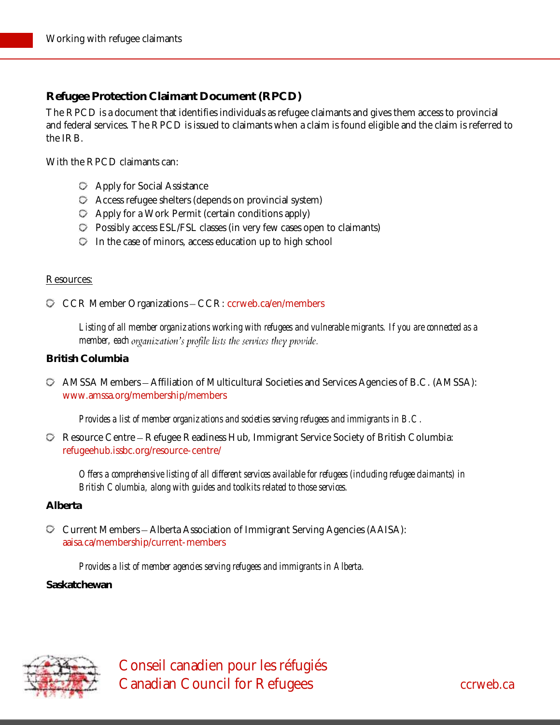## **Refugee Protection Claimant Document (RPCD)**

The RPCD is a document that identifies individuals as refugee claimants and gives them access to provincial and federal services. The RPCD is issued to claimants when a claim is found eligible and the claim is referred to the IRB.

With the RPCD claimants can:

- Apply for Social Assistance
- Access refugee shelters (depends on provincial system)
- $\heartsuit$  Apply for a Work Permit (certain conditions apply)
- Possibly access ESL/FSL classes (in very few cases open to claimants)
- $\heartsuit$  In the case of minors, access education up to high school

#### Resources:

C CCR Member Organizations - CCR: [ccrweb.ca/en/members](http://ccrweb.ca/en/members)

*Listing of all member organizations working with refugees and vulnerable migrants. If you are connected as a member, each organization's profile lists the services they provide.* 

### **British Columbia**

 $\heartsuit$  AMSSA Members – Affiliation of Multicultural Societies and Services Agencies of B.C. (AMSSA): [www.amssa.org/membership/members](file:///C:/Users/Projet2/AppData/Local/Temp/www.amssa.org/membership/members)

*Provides a list of member organizations and societies serving refugees and immigrants in B.C.*

**C** Resource Centre – Refugee Readiness Hub, Immigrant Service Society of British Columbia: [refugeehub.issbc.org/resource-centre/](http://refugeehub.issbc.org/resource-centre/)

*Offers a comprehensive listing of all different services available for refugees (including refugee claimants) in British Columbia, along with guides and toolkits related to those services.*

#### **Alberta**

Current Members Alberta Association of Immigrant Serving Agencies (AAISA): [aaisa.ca/membership/current-members](http://aaisa.ca/membership/current-members/)

*Provides a list of member agencies serving refugees and immigrants in Alberta.*

#### **Saskatchewan**

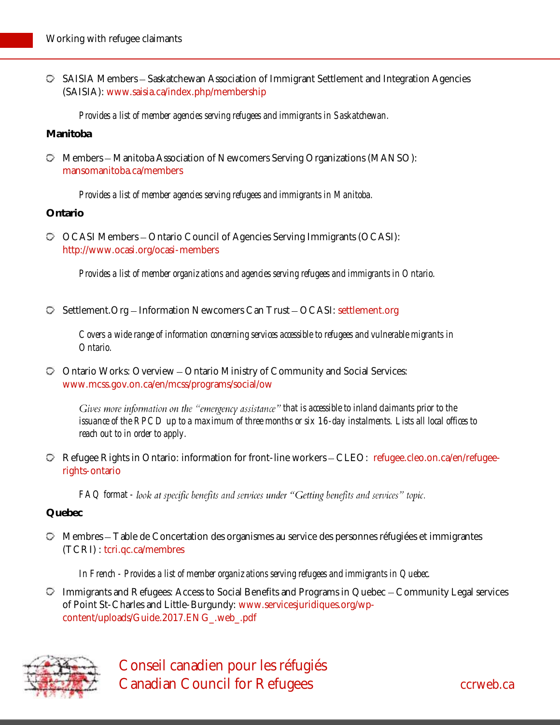$\heartsuit$  SAISIA Members – Saskatchewan Association of Immigrant Settlement and Integration Agencies (SAISIA): [www.saisia.ca/index.php/membership](file:///C:/Users/Projet2/AppData/Local/Temp/www.saisia.ca/index.php/membership)

*Provides a list of member agencies serving refugees and immigrants in Saskatchewan.*

**Manitoba**

 $\heartsuit$  Members – Manitoba Association of Newcomers Serving Organizations (MANSO): [mansomanitoba.ca/members](http://mansomanitoba.ca/members/)

*Provides a list of member agencies serving refugees and immigrants in Manitoba.*

**Ontario**

OCASI Members Ontario Council of Agencies Serving Immigrants (OCASI): <http://www.ocasi.org/ocasi-members>

*Provides a list of member organizations and agencies serving refugees and immigrants in Ontario.*

**D** Settlement. Org - Information Newcomers Can Trust - OCASI: [settlement.org](https://settlement.org/)

*Covers a wide range of information concerning services accessible to refugees and vulnerable migrants in Ontario.*

Ontario Works: Overview Ontario Ministry of Community and Social Services: [www.mcss.gov.on.ca/en/mcss/programs/social/ow](file:///C:/Users/Projet2/AppData/Local/Temp/www.mcss.gov.on.ca/en/mcss/programs/social/ow)

Gives more information on the "emergency assistance" that is accessible to inland claimants prior to the *issuance of the RPCD up to a maximum of three months or six 16-day instalments. Lists all local offices to reach out to in order to apply.*

**P** Refugee Rights in Ontario: information for front-line workers - CLEO: [refugee.cleo.on.ca/en/refugee](http://refugee.cleo.on.ca/en/refugee-rights-ontario)[rights-ontario](http://refugee.cleo.on.ca/en/refugee-rights-ontario)

*FAQ format -*

**Quebec**

Membres Table de Concertation des organismes au service des personnes réfugiées et immigrantes (TCRI) : [tcri.qc.ca/membres](http://tcri.qc.ca/membres)

*In French - Provides a list of member organizations serving refugees and immigrants in Quebec.*

 $\heartsuit$  Immigrants and Refugees: Access to Social Benefits and Programs in Quebec  $\sim$  Community Legal services of Point St-Charles and Little-Burgundy: [www.servicesjuridiques.org/wp](http://www.servicesjuridiques.org/wp-content/uploads/Guide.2017.ENG_.web_.pdf)[content/uploads/Guide.2017.ENG\\_.web\\_.pdf](http://www.servicesjuridiques.org/wp-content/uploads/Guide.2017.ENG_.web_.pdf)

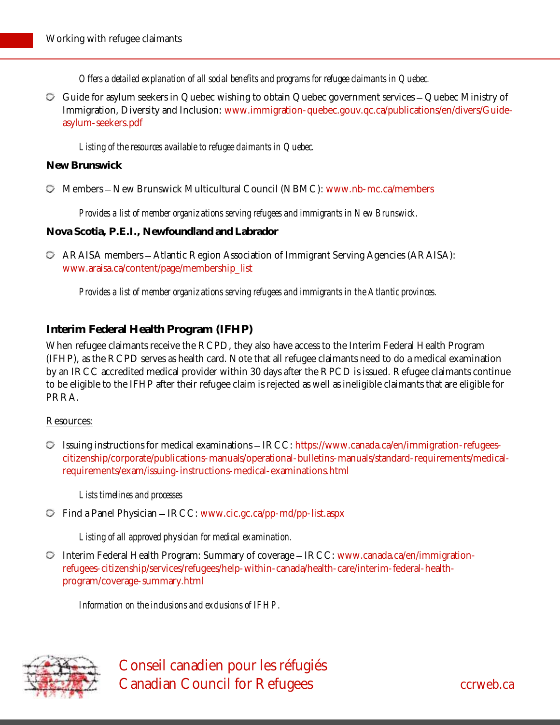*Offers a detailed explanation of all social benefits and programs for refugee claimants in Quebec.*

 $\heartsuit$  Guide for asylum seekers in Quebec wishing to obtain Quebec government services – Quebec Ministry of Immigration, Diversity and Inclusion: [www.immigration-quebec.gouv.qc.ca/publications/en/divers/Guide](http://www.immigration-quebec.gouv.qc.ca/publications/en/divers/Guide-asylum-seekers.pdf)[asylum-seekers.pdf](http://www.immigration-quebec.gouv.qc.ca/publications/en/divers/Guide-asylum-seekers.pdf)

*Listing of the resources available to refugee claimants in Quebec.*

#### **New Brunswick**

Members New Brunswick Multicultural Council (NBMC): [www.nb-mc.ca/members](file:///C:/Users/Projet2/AppData/Local/Temp/www.nb-mc.ca/members)

*Provides a list of member organizations serving refugees and immigrants in New Brunswick.*

**Nova Scotia, P.E.I., Newfoundland and Labrador**

 $\heartsuit$  ARAISA members - Atlantic Region Association of Immigrant Serving Agencies (ARAISA): [www.araisa.ca/content/page/membership\\_list](file:///C:/Users/Projet2/AppData/Local/Temp/www.araisa.ca/content/page/membership_list)

*Provides a list of member organizations serving refugees and immigrants in the Atlantic provinces.*

### <span id="page-9-0"></span>**Interim Federal Health Program (IFHP)**

When refugee claimants receive the RCPD, they also have access to the Interim Federal Health Program (IFHP), as the RCPD serves as health card. Note that all refugee claimants need to do a medical examination by an IRCC accredited medical provider within 30 days after the RPCD is issued. Refugee claimants continue to be eligible to the IFHP after their refugee claim is rejected as well as ineligible claimants that are eligible for PRRA.

#### Resources:

 $\heartsuit$  Issuing instructions for medical examinations - IRCC[: https://www.canada.ca/en/immigration-refugees](https://www.canada.ca/en/immigration-refugees-citizenship/corporate/publications-manuals/operational-bulletins-manuals/standard-requirements/medical-requirements/exam/issuing-instructions-medical-examinations.html)[citizenship/corporate/publications-manuals/operational-bulletins-manuals/standard-requirements/medical](https://www.canada.ca/en/immigration-refugees-citizenship/corporate/publications-manuals/operational-bulletins-manuals/standard-requirements/medical-requirements/exam/issuing-instructions-medical-examinations.html)[requirements/exam/issuing-instructions-medical-examinations.html](https://www.canada.ca/en/immigration-refugees-citizenship/corporate/publications-manuals/operational-bulletins-manuals/standard-requirements/medical-requirements/exam/issuing-instructions-medical-examinations.html)

*Lists timelines and processes*

 $\heartsuit$  Find a Panel Physician – IRCC: [www.cic.gc.ca/pp-md/pp-list.aspx](http://www.cic.gc.ca/pp-md/pp-list.aspx)

*Listing of all approved physician for medical examination.*

 $\heartsuit$  Interim Federal Health Program: Summary of coverage - IRCC[: www.canada.ca/en/immigration](http://www.canada.ca/en/immigration-refugees-citizenship/services/refugees/help-within-canada/health-care/interim-federal-health-program/coverage-summary.html)[refugees-citizenship/services/refugees/help-within-canada/health-care/interim-federal-health](http://www.canada.ca/en/immigration-refugees-citizenship/services/refugees/help-within-canada/health-care/interim-federal-health-program/coverage-summary.html)[program/coverage-summary.html](http://www.canada.ca/en/immigration-refugees-citizenship/services/refugees/help-within-canada/health-care/interim-federal-health-program/coverage-summary.html)

*Information on the inclusions and exclusions of IFHP.*

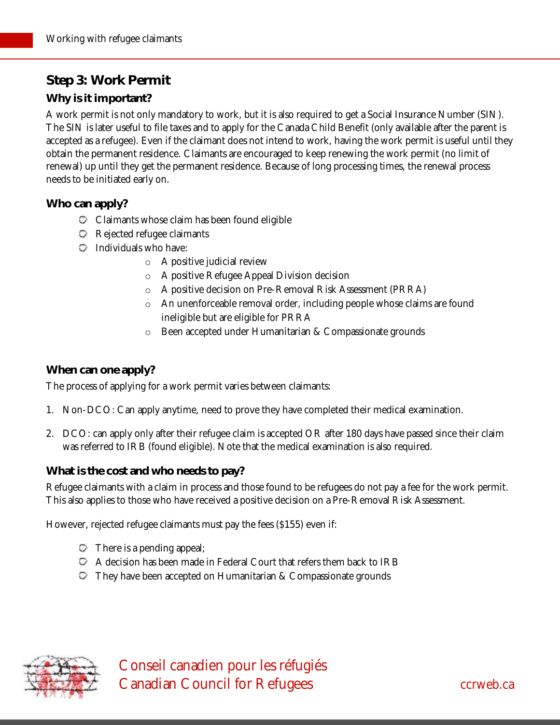# **Step 3: Work Permit**

## **Why is it important?**

A work permit is not only mandatory to work, but it is also required to get a Social Insurance Number (SIN). The SIN is later useful to file taxes and to apply for the Canada Child Benefit (only available after the parent is accepted as a refugee). Even if the claimant does not intend to work, having the work permit is useful until they obtain the permanent residence. Claimants are encouraged to keep renewing the work permit (no limit of renewal) up until they get the permanent residence. Because of long processing times, the renewal process needs to be initiated early on.

**Who can apply?**

- $\heartsuit$  Claimants whose claim has been found eligible
- Rejected refugee claimants
- $\heartsuit$  Individuals who have:
	- o A positive judicial review
	- o A positive Refugee Appeal Division decision
	- o A positive decision on Pre-Removal Risk Assessment (PRRA)
	- o An unenforceable removal order, including people whose claims are found ineligible but are eligible for PRRA
	- o Been accepted under Humanitarian & Compassionate grounds

## **When can one apply?**

The process of applying for a work permit varies between claimants:

- 1. Non-DCO: Can apply anytime, need to prove they have completed their medical examination.
- 2. DCO: can apply only after their refugee claim is accepted OR after 180 days have passed since their claim was referred to IRB (found eligible). Note that the medical examination is also required.

**What is the cost and who needs to pay?**

Refugee claimants with a claim in process and those found to be refugees do not pay a fee for the work permit. This also applies to those who have received a positive decision on a Pre-Removal Risk Assessment.

However, rejected refugee claimants must pay the fees (\$155) even if:

- $\heartsuit$  There is a pending appeal;
- A decision has been made in Federal Court that refers them back to IRB
- They have been accepted on Humanitarian & Compassionate grounds

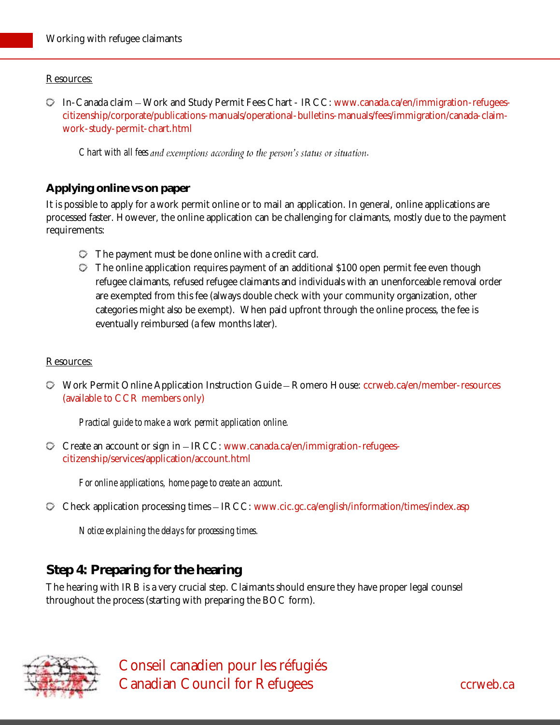#### Resources:

 $\heartsuit$  In-Canada claim – Work and Study Permit Fees Chart - IRCC: [www.canada.ca/en/immigration-refugees](https://www.canada.ca/en/immigration-refugees-citizenship/corporate/publications-manuals/operational-bulletins-manuals/fees/immigration/canada-claim-work-study-permit-chart.html)[citizenship/corporate/publications-manuals/operational-bulletins-manuals/fees/immigration/canada-claim](https://www.canada.ca/en/immigration-refugees-citizenship/corporate/publications-manuals/operational-bulletins-manuals/fees/immigration/canada-claim-work-study-permit-chart.html)[work-study-permit-chart.html](https://www.canada.ca/en/immigration-refugees-citizenship/corporate/publications-manuals/operational-bulletins-manuals/fees/immigration/canada-claim-work-study-permit-chart.html)

*Chart with all fees and exemptions according to the person's status or situation.* 

### **Applying online vs on paper**

It is possible to apply for a work permit online or to mail an application. In general, online applications are processed faster. However, the online application can be challenging for claimants, mostly due to the payment requirements:

- $\heartsuit$  The payment must be done online with a credit card.
- The online application requires payment of an additional \$100 open permit fee even though refugee claimants, refused refugee claimants and individuals with an unenforceable removal order are exempted from this fee (always double check with your community organization, other categories might also be exempt). When paid upfront through the online process, the fee is eventually reimbursed (a few months later).

#### Resources:

Work Permit Online Application Instruction Guide Romero House: [ccrweb.ca/en/member-resources](http://ccrweb.ca/en/member-resources) (available to CCR members only)

*Practical guide to make a work permit application online.*

Create an account or sign in IRCC[: www.canada.ca/en/immigration-refugees](https://www.canada.ca/en/immigration-refugees-citizenship/services/application/account.html)[citizenship/services/application/account.html](https://www.canada.ca/en/immigration-refugees-citizenship/services/application/account.html)

*For online applications, home page to create an account.*

 $\heartsuit$  Check application processing times  $-$  IRCC: [www.cic.gc.ca/english/information/times/index.asp](http://www.cic.gc.ca/english/information/times/index.asp)

*Notice explaining the delays for processing times.*

# **Step 4: Preparing for the hearing**

The hearing with IRB is a very crucial step. Claimants should ensure they have proper legal counsel throughout the process (starting with preparing the BOC form).

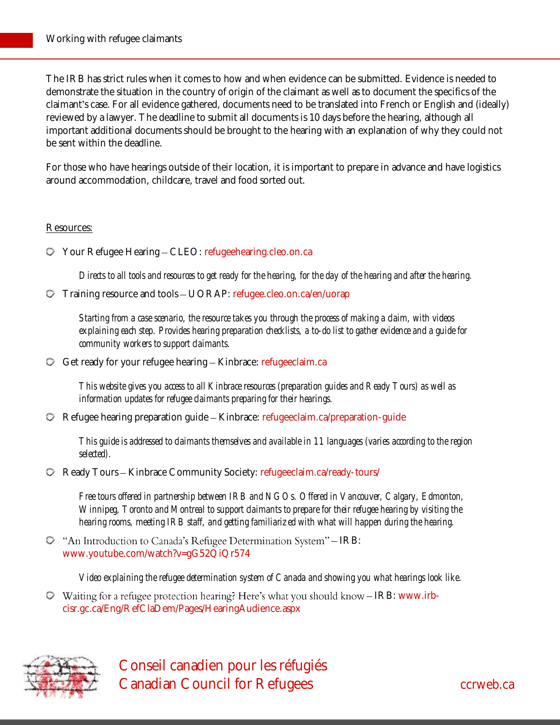The IRB has strict rules when it comes to how and when evidence can be submitted. Evidence is needed to demonstrate the situation in the country of origin of the claimant as well as to document the specifics of the claimant's case. For all evidence gathered, documents need to be translated into French or English and (ideally) reviewed by a lawyer. The deadline to submit all documents is 10 days before the hearing, although all important additional documents should be brought to the hearing with an explanation of why they could not be sent within the deadline.

For those who have hearings outside of their location, it is important to prepare in advance and have logistics around accommodation, childcare, travel and food sorted out.

#### Resources:

Your Refugee Hearing CLEO: [refugeehearing.cleo.on.ca](https://refugeehearing.cleo.on.ca/)

*Directs to all tools and resources to get ready for the hearing, for the day of the hearing and after the hearing.*

 $\heartsuit$  Training resource and tools  $-\text{UORAP}$ [: refugee.cleo.on.ca/en/uorap](http://refugee.cleo.on.ca/en/uorap)

*Starting from a case scenario, the resource takes you through the process of making a claim, with videos explaining each step. Provides hearing preparation checklists, a to-do list to gather evidence and a guide for community workers to support claimants.*

 $\heartsuit$  Get ready for your refugee hearing  $-$  Kinbrace: [refugeeclaim.ca](https://refugeeclaim.ca/)

*This website gives you access to all Kinbrace resources (preparation guides and Ready Tours) as well as information updates for refugee claimants preparing for their hearings.*

 $\heartsuit$  Refugee hearing preparation guide – Kinbrace: [refugeeclaim.ca/preparation-guide](https://refugeeclaim.ca/preparation-guide/)

*This guide is addressed to claimants themselves and available in 11 languages (varies according to the region selected).*

 $\heartsuit$  Ready Tours – Kinbrace Community Society: [refugeeclaim.ca/ready-tours/](http://refugeeclaim.ca/ready-tours/)

*Free tours offered in partnership between IRB and NGOs. Offered in Vancouver, Calgary, Edmonton, Winnipeg, Toronto and Montreal to support claimants to prepare for their refugee hearing by visiting the hearing rooms, meeting IRB staff, and getting familiarized with what will happen during the hearing.*

 $\heartsuit$  "An Introduction to Canada's Refugee Determination System" – IRB: [www.youtube.com/watch?v=gG52QiQr574](https://www.youtube.com/watch?v=gG52QiQr574)

*Video explaining the refugee determination system of Canada and showing you what hearings look like.*

 $\heartsuit$  Waiting for a refugee protection hearing? Here's what you should know - IRB: [www.irb](http://www.irb-cisr.gc.ca/Eng/RefClaDem/Pages/HearingAudience.aspx)[cisr.gc.ca/Eng/RefClaDem/Pages/HearingAudience.aspx](http://www.irb-cisr.gc.ca/Eng/RefClaDem/Pages/HearingAudience.aspx)



 Conseil canadien pour les réfugiés Canadian Council for Refugees can be converted as a converted control of the case of the case of the case of the case of the case of the case of the case of the case of the case of the case of the case of the case of the c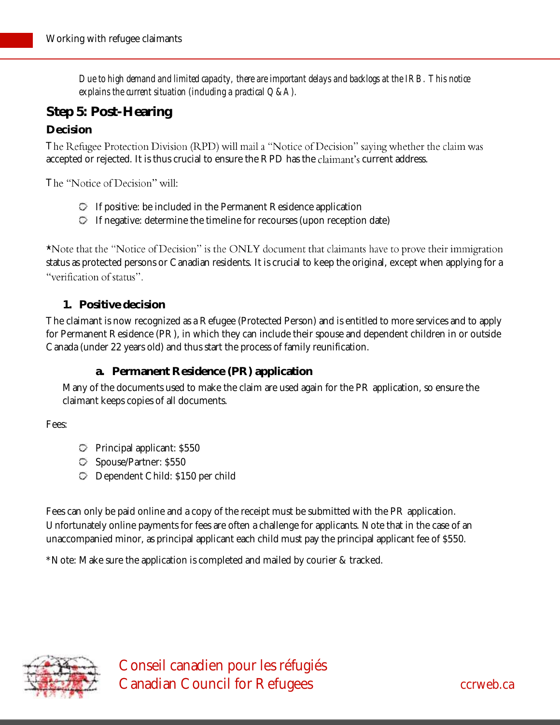*Due to high demand and limited capacity, there are important delays and backlogs at the IRB. This notice explains the current situation (including a practical Q&A).*

# **Step 5: Post-Hearing**

## **Decision**

The Refugee Protection Division (RPD) will mail a "Notice of Decision" saying whether the claim was accepted or rejected. It is thus crucial to ensure the RPD has the claimant's current address.

The "Notice of Decision" will:

- $\heartsuit$  If positive: be included in the Permanent Residence application
- $\heartsuit$  If negative: determine the timeline for recourses (upon reception date)

\*Note that the "Notice of Decision" is the ONLY document that claimants have to prove their immigration status as protected persons or Canadian residents. It is crucial to keep the original, except when applying for a "verification of status".

### **1. Positive decision**

The claimant is now recognized as a Refugee (Protected Person) and is entitled to more services and to apply for Permanent Residence (PR), in which they can include their spouse and dependent children in or outside Canada (under 22 years old) and thus start the process of family reunification.

## **a. Permanent Residence (PR) application**

Many of the documents used to make the claim are used again for the PR application, so ensure the claimant keeps copies of all documents.

Fees:

- Principal applicant: \$550
- Spouse/Partner: \$550
- Dependent Child: \$150 per child

Fees can only be paid online and a copy of the receipt must be submitted with the PR application. Unfortunately online payments for fees are often a challenge for applicants. Note that in the case of an unaccompanied minor, as principal applicant each child must pay the principal applicant fee of \$550.

\*Note: Make sure the application is completed and mailed by courier & tracked.

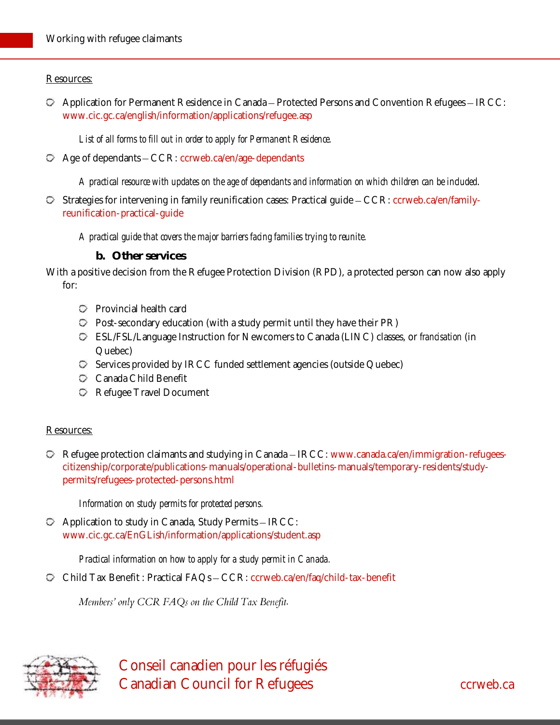### Resources:

 $\heartsuit$  Application for Permanent Residence in Canada – Protected Persons and Convention Refugees – IRCC: [www.cic.gc.ca/english/information/applications/refugee.asp](http://www.cic.gc.ca/english/information/applications/refugee.asp)

*List of all forms to fill out in order to apply for Permanent Residence.*

 $\heartsuit$  Age of dependants  $-CCR$ : [ccrweb.ca/en/age-dependants](http://ccrweb.ca/en/age-dependants)

*A practical resource with updates on the age of dependants and information on which children can be included*.

 $\heartsuit$  Strategies for intervening in family reunification cases: Practical guide  $-CCR$ : [ccrweb.ca/en/family](http://ccrweb.ca/en/family-reunification-practical-guide)[reunification-practical-guide](http://ccrweb.ca/en/family-reunification-practical-guide)

*A practical guide that covers the major barriers facing families trying to reunite.*

**b. Other services** 

With a positive decision from the Refugee Protection Division (RPD), a protected person can now also apply for:

- Provincial health card
- $\heartsuit$  Post-secondary education (with a study permit until they have their PR)
- ESL/FSL/Language Instruction for Newcomers to Canada (LINC) classes, or *francisation* (in Quebec)
- $\heartsuit$  Services provided by IRCC funded settlement agencies (outside Quebec)
- Canada Child Benefit
- Refugee Travel Document

#### Resources:

**D** Refugee protection claimants and studying in Canada – IRCC: [www.canada.ca/en/immigration-refugees](http://www.canada.ca/en/immigration-refugees-citizenship/corporate/publications-manuals/operational-bulletins-manuals/temporary-residents/study-permits/refugees-protected-persons.html)[citizenship/corporate/publications-manuals/operational-bulletins-manuals/temporary-residents/study](http://www.canada.ca/en/immigration-refugees-citizenship/corporate/publications-manuals/operational-bulletins-manuals/temporary-residents/study-permits/refugees-protected-persons.html)[permits/refugees-protected-persons.html](http://www.canada.ca/en/immigration-refugees-citizenship/corporate/publications-manuals/operational-bulletins-manuals/temporary-residents/study-permits/refugees-protected-persons.html)

*Information on study permits for protected persons.*

 $\heartsuit$  Application to study in Canada, Study Permits - IRCC: [www.cic.gc.ca/EnGLish/information/applications/student.asp](http://www.cic.gc.ca/EnGLish/information/applications/student.asp)

*Practical information on how to apply for a study permit in Canada.*

C Child Tax Benefit: Practical FAQs - CCR: [ccrweb.ca/en/faq/child-tax-benefit](http://ccrweb.ca/en/faq/child-tax-benefit)

*Members'* only CCR FAQs on the Child Tax Benefit.

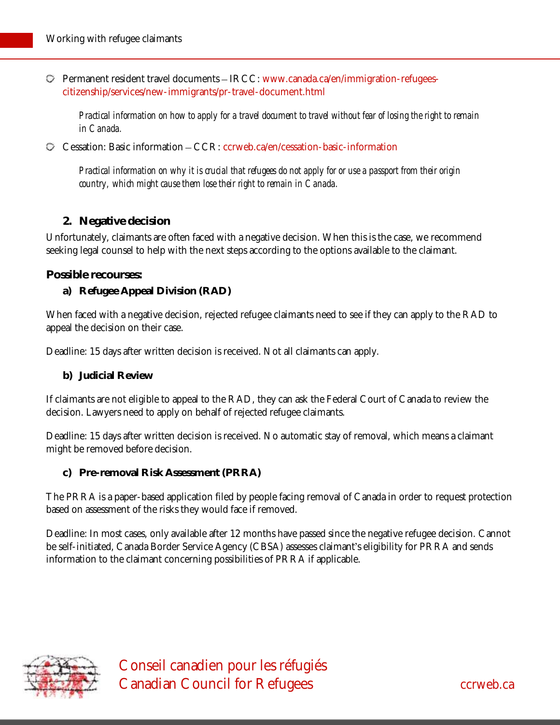Permanent resident travel documents IRCC: [www.canada.ca/en/immigration-refugees](https://www.canada.ca/en/immigration-refugees-citizenship/services/new-immigrants/pr-travel-document.html)[citizenship/services/new-immigrants/pr-travel-document.html](https://www.canada.ca/en/immigration-refugees-citizenship/services/new-immigrants/pr-travel-document.html)

*Practical information on how to apply for a travel document to travel without fear of losing the right to remain in Canada.*

 $\heartsuit$  Cessation: Basic information  $-CCR$ : [ccrweb.ca/en/cessation-basic-information](http://ccrweb.ca/en/cessation-basic-information)

*Practical information on why it is crucial that refugees do not apply for or use a passport from their origin country, which might cause them lose their right to remain in Canada.*

### **2. Negative decision**

Unfortunately, claimants are often faced with a negative decision. When this is the case, we recommend seeking legal counsel to help with the next steps according to the options available to the claimant.

**Possible recourses:**

**a) Refugee Appeal Division (RAD)**

When faced with a negative decision, rejected refugee claimants need to see if they can apply to the RAD to appeal the decision on their case.

Deadline: 15 days after written decision is received. Not all claimants can apply.

**b) Judicial Review**

If claimants are not eligible to appeal to the RAD, they can ask the Federal Court of Canada to review the decision. Lawyers need to apply on behalf of rejected refugee claimants.

Deadline: 15 days after written decision is received. No automatic stay of removal, which means a claimant might be removed before decision.

**c) Pre-removal Risk Assessment (PRRA)**

The PRRA is a paper-based application filed by people facing removal of Canada in order to request protection based on assessment of the risks they would face if removed.

Deadline: In most cases, only available after 12 months have passed since the negative refugee decision. Cannot be self-initiated, Canada Border Service Agency (CBSA) assesses claimant's eligibility for PRRA and sends information to the claimant concerning possibilities of PRRA if applicable.

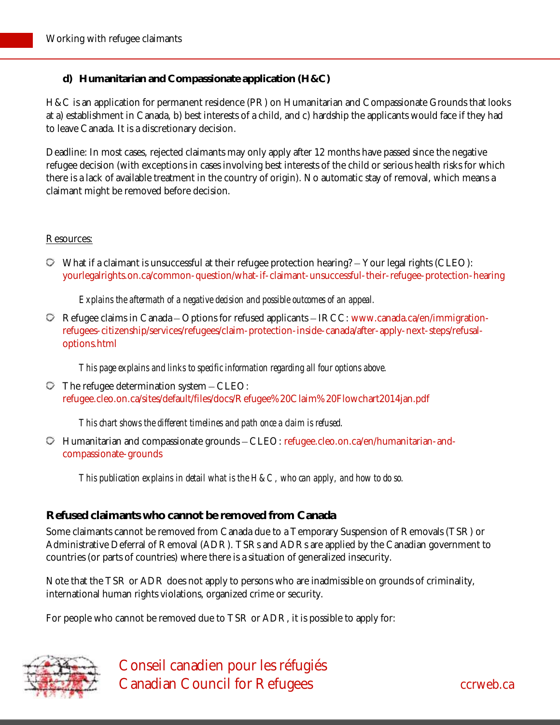**d) Humanitarian and Compassionate application (H&C)**

H&C is an application for permanent residence (PR) on Humanitarian and Compassionate Grounds that looks at a) establishment in Canada, b) best interests of a child, and c) hardship the applicants would face if they had to leave Canada. It is a discretionary decision.

Deadline: In most cases, rejected claimants may only apply after 12 months have passed since the negative refugee decision (with exceptions in cases involving best interests of the child or serious health risks for which there is a lack of available treatment in the country of origin). No automatic stay of removal, which means a claimant might be removed before decision.

#### Resources:

 $\heartsuit$  What if a claimant is unsuccessful at their refugee protection hearing?  $\text{-}$  Your legal rights (CLEO): [yourlegalrights.on.ca/common-question/what-if-claimant-unsuccessful-their-refugee-protection-hearing](http://yourlegalrights.on.ca/common-question/what-if-claimant-unsuccessful-their-refugee-protection-hearing)

*Explains the aftermath of a negative decision and possible outcomes of an appeal.*

 $\heartsuit$  Refugee claims in Canada – Options for refused applicants – IRCC: [www.canada.ca/en/immigration](https://www.canada.ca/en/immigration-refugees-citizenship/services/refugees/claim-protection-inside-canada/after-apply-next-steps/refusal-options.html)[refugees-citizenship/services/refugees/claim-protection-inside-canada/after-apply-next-steps/refusal](https://www.canada.ca/en/immigration-refugees-citizenship/services/refugees/claim-protection-inside-canada/after-apply-next-steps/refusal-options.html)[options.html](https://www.canada.ca/en/immigration-refugees-citizenship/services/refugees/claim-protection-inside-canada/after-apply-next-steps/refusal-options.html)

*This page explains and links to specific information regarding all four options above.*

 $\heartsuit$  The refugee determination system  $-\text{CLEO}:$ [refugee.cleo.on.ca/sites/default/files/docs/Refugee%20Claim%20Flowchart2014jan.pdf](http://refugee.cleo.on.ca/sites/default/files/docs/Refugee%20Claim%20Flowchart2014jan.pdf)

*This chart shows the different timelines and path once a claim is refused.*

 $\heartsuit$  Humanitarian and compassionate grounds  $-CLEO$ : [refugee.cleo.on.ca/en/humanitarian-and](https://refugee.cleo.on.ca/en/humanitarian-and-compassionate-grounds)[compassionate-grounds](https://refugee.cleo.on.ca/en/humanitarian-and-compassionate-grounds)

*This publication explains in detail what is the H&C, who can apply, and how to do so.*

#### **Refused claimants who cannot be removed from Canada**

Some claimants cannot be removed from Canada due to a Temporary Suspension of Removals (TSR) or Administrative Deferral of Removal (ADR). TSRs and ADRs are applied by the Canadian government to countries (or parts of countries) where there is a situation of generalized insecurity.

Note that the TSR or ADR does not apply to persons who are inadmissible on grounds of criminality, international human rights violations, organized crime or security.

For people who cannot be removed due to TSR or ADR, it is possible to apply for: